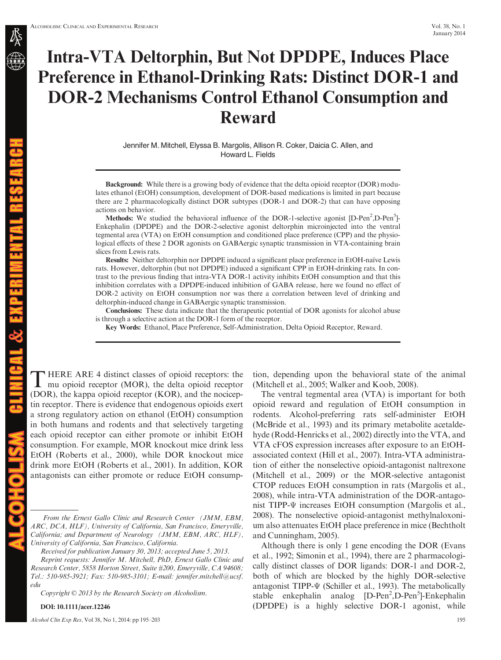# Intra-VTA Deltorphin, But Not DPDPE, Induces Place Preference in Ethanol-Drinking Rats: Distinct DOR-1 and DOR-2 Mechanisms Control Ethanol Consumption and Reward

Jennifer M. Mitchell, Elyssa B. Margolis, Allison R. Coker, Daicia C. Allen, and Howard L. Fields

Background: While there is a growing body of evidence that the delta opioid receptor (DOR) modulates ethanol (EtOH) consumption, development of DOR-based medications is limited in part because there are 2 pharmacologically distinct DOR subtypes (DOR-1 and DOR-2) that can have opposing actions on behavior.

Methods: We studied the behavioral influence of the DOR-1-selective agonist [D-Pen<sup>2</sup>,D-Pen<sup>5</sup>]-Enkephalin (DPDPE) and the DOR-2-selective agonist deltorphin microinjected into the ventral tegmental area (VTA) on EtOH consumption and conditioned place preference (CPP) and the physiological effects of these 2 DOR agonists on GABAergic synaptic transmission in VTA-containing brain slices from Lewis rats.

Results: Neither deltorphin nor DPDPE induced a significant place preference in EtOH-naïve Lewis rats. However, deltorphin (but not DPDPE) induced a significant CPP in EtOH-drinking rats. In contrast to the previous finding that intra-VTA DOR-1 activity inhibits EtOH consumption and that this inhibition correlates with a DPDPE-induced inhibition of GABA release, here we found no effect of DOR-2 activity on EtOH consumption nor was there a correlation between level of drinking and deltorphin-induced change in GABAergic synaptic transmission.

Conclusions: These data indicate that the therapeutic potential of DOR agonists for alcohol abuse is through a selective action at the DOR-1 form of the receptor.

Key Words: Ethanol, Place Preference, Self-Administration, Delta Opioid Receptor, Reward.

THERE ARE 4 distinct classes of opioid receptors: the<br>mu opioid receptor (MOR), the delta opioid receptor (DOR), the kappa opioid receptor (KOR), and the nociceptin receptor. There is evidence that endogenous opioids exert a strong regulatory action on ethanol (EtOH) consumption in both humans and rodents and that selectively targeting each opioid receptor can either promote or inhibit EtOH consumption. For example, MOR knockout mice drink less EtOH (Roberts et al., 2000), while DOR knockout mice drink more EtOH (Roberts et al., 2001). In addition, KOR antagonists can either promote or reduce EtOH consump-

Received for publication January 30, 2013; accepted June 5, 2013.

Reprint requests: Jennifer M. Mitchell, PhD, Ernest Gallo Clinic and Research Center, 5858 Horton Street, Suite #200, Emeryville, CA 94608; Tel.: 510-985-3921; Fax: 510-985-3101; E-mail: jennifer.mitchell@ucsf. edu

Copyright © 2013 by the Research Society on Alcoholism.

DOI: 10.1111/acer.12246

ICAL & EXPERIMENTAL RESEA

 $\blacksquare$   $\blacksquare$   $\blacksquare$ 

Alcohol Clin Exp Res, Vol 38, No 1, 2014: pp 195–203 195

tion, depending upon the behavioral state of the animal (Mitchell et al., 2005; Walker and Koob, 2008).

The ventral tegmental area (VTA) is important for both opioid reward and regulation of EtOH consumption in rodents. Alcohol-preferring rats self-administer EtOH (McBride et al., 1993) and its primary metabolite acetaldehyde (Rodd-Henricks et al., 2002) directly into the VTA, and VTA cFOS expression increases after exposure to an EtOHassociated context (Hill et al., 2007). Intra-VTA administration of either the nonselective opioid-antagonist naltrexone (Mitchell et al., 2009) or the MOR-selective antagonist CTOP reduces EtOH consumption in rats (Margolis et al., 2008), while intra-VTA administration of the DOR-antagonist TIPP-Ψ increases EtOH consumption (Margolis et al., 2008). The nonselective opioid-antagonist methylnaloxonium also attenuates EtOH place preference in mice (Bechtholt and Cunningham, 2005).

Although there is only 1 gene encoding the DOR (Evans et al., 1992; Simonin et al., 1994), there are 2 pharmacologically distinct classes of DOR ligands: DOR-1 and DOR-2, both of which are blocked by the highly DOR-selective antagonist TIPP-Ψ (Schiller et al., 1993). The metabolically stable enkephalin analog [D-Pen<sup>2</sup>,D-Pen<sup>5</sup>]-Enkephalin (DPDPE) is a highly selective DOR-1 agonist, while

From the Ernest Gallo Clinic and Research Center (JMM, EBM, ARC, DCA, HLF), University of California, San Francisco, Emeryville, California; and Department of Neurology (JMM, EBM, ARC, HLF), University of California, San Francisco, California.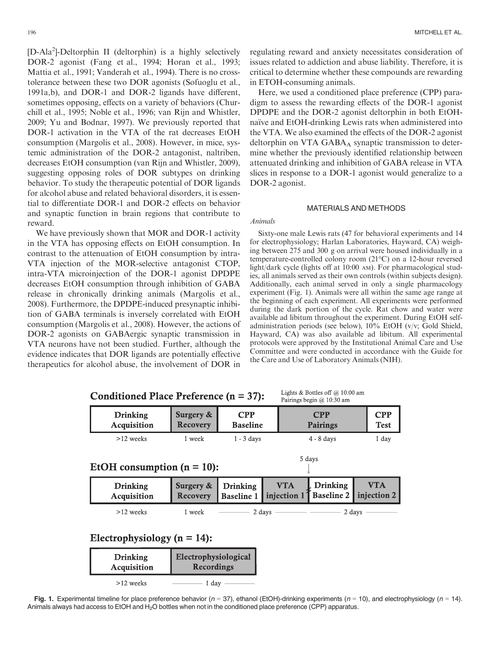[D-Ala2 ]-Deltorphin II (deltorphin) is a highly selectively DOR-2 agonist (Fang et al., 1994; Horan et al., 1993; Mattia et al., 1991; Vanderah et al., 1994). There is no crosstolerance between these two DOR agonists (Sofuoglu et al., 1991a,b), and DOR-1 and DOR-2 ligands have different, sometimes opposing, effects on a variety of behaviors (Churchill et al., 1995; Noble et al., 1996; van Rijn and Whistler, 2009; Yu and Bodnar, 1997). We previously reported that DOR-1 activation in the VTA of the rat decreases EtOH consumption (Margolis et al., 2008). However, in mice, systemic administration of the DOR-2 antagonist, naltriben, decreases EtOH consumption (van Rijn and Whistler, 2009), suggesting opposing roles of DOR subtypes on drinking behavior. To study the therapeutic potential of DOR ligands for alcohol abuse and related behavioral disorders, it is essential to differentiate DOR-1 and DOR-2 effects on behavior and synaptic function in brain regions that contribute to reward.

We have previously shown that MOR and DOR-1 activity in the VTA has opposing effects on EtOH consumption. In contrast to the attenuation of EtOH consumption by intra-VTA injection of the MOR-selective antagonist CTOP, intra-VTA microinjection of the DOR-1 agonist DPDPE decreases EtOH consumption through inhibition of GABA release in chronically drinking animals (Margolis et al., 2008). Furthermore, the DPDPE-induced presynaptic inhibition of GABA terminals is inversely correlated with EtOH consumption (Margolis et al., 2008). However, the actions of DOR-2 agonists on GABAergic synaptic transmission in VTA neurons have not been studied. Further, although the evidence indicates that DOR ligands are potentially effective therapeutics for alcohol abuse, the involvement of DOR in

regulating reward and anxiety necessitates consideration of issues related to addiction and abuse liability. Therefore, it is critical to determine whether these compounds are rewarding in ETOH-consuming animals.

Here, we used a conditioned place preference (CPP) paradigm to assess the rewarding effects of the DOR-1 agonist DPDPE and the DOR-2 agonist deltorphin in both EtOHnaïve and EtOH-drinking Lewis rats when administered into the VTA. We also examined the effects of the DOR-2 agonist deltorphin on VTA  $GABA_A$  synaptic transmission to determine whether the previously identified relationship between attenuated drinking and inhibition of GABA release in VTA slices in response to a DOR-1 agonist would generalize to a DOR-2 agonist.

#### MATERIALS AND METHODS

#### Animals

Sixty-one male Lewis rats (47 for behavioral experiments and 14 for electrophysiology; Harlan Laboratories, Hayward, CA) weighing between 275 and 300 g on arrival were housed individually in a temperature-controlled colony room (21°C) on a 12-hour reversed light/dark cycle (lights off at 10:00 AM). For pharmacological studies, all animals served as their own controls (within subjects design). Additionally, each animal served in only a single pharmacology experiment (Fig. 1). Animals were all within the same age range at the beginning of each experiment. All experiments were performed during the dark portion of the cycle. Rat chow and water were available ad libitum throughout the experiment. During EtOH selfadministration periods (see below), 10% EtOH (v/v; Gold Shield, Hayward, CA) was also available ad libitum. All experimental protocols were approved by the Institutional Animal Care and Use Committee and were conducted in accordance with the Guide for the Care and Use of Laboratory Animals (NIH).

 $T = 1 + 1 + 0$ .  $D = 1 + 1 + 0$ .  $C = 0.10, 0.01$ .

| Conditioned Place Preference $(n = 37)$ : |                                           |                                      |  | Lights $\alpha$ Dotties on $(u, 10.00 \text{ and }$<br>Pairings begin @ 10:30 am |                               |                           |  |
|-------------------------------------------|-------------------------------------------|--------------------------------------|--|----------------------------------------------------------------------------------|-------------------------------|---------------------------|--|
| <b>Drinking</b><br><b>Acquisition</b>     | Surgery &<br>Recovery                     | <b>CPP</b><br><b>Baseline</b>        |  | <b>CPP</b><br>Pairings                                                           |                               | <b>CPP</b><br><b>Test</b> |  |
| $>12$ weeks                               | 1 week                                    | $1 - 3$ days                         |  | $4 - 8$ days                                                                     |                               | 1 day                     |  |
| 5 days<br>EtOH consumption $(n = 10)$ :   |                                           |                                      |  |                                                                                  |                               |                           |  |
| <b>Drinking</b><br>Acquisition            | Surgery &<br><b>Recovery</b>              | <b>Drinking</b><br><b>Baseline 1</b> |  | <b>VTA</b><br>injection 1                                                        | Drinking<br><b>Baseline 2</b> | VTA<br>injection 2        |  |
| $>12$ weeks                               | 1 week                                    |                                      |  | 2 days $\overline{\phantom{a} \phantom{a}}$                                      |                               | 2 days                    |  |
| Electrophysiology ( $n = 14$ ):           |                                           |                                      |  |                                                                                  |                               |                           |  |
| <b>Drinking</b><br>Acquisition            | Electrophysiological<br><b>Recordings</b> |                                      |  |                                                                                  |                               |                           |  |
| >12 weeks                                 |                                           |                                      |  |                                                                                  |                               |                           |  |

Fig. 1. Experimental timeline for place preference behavior ( $n = 37$ ), ethanol (EtOH)-drinking experiments ( $n = 10$ ), and electrophysiology ( $n = 14$ ). Animals always had access to EtOH and H<sub>2</sub>O bottles when not in the conditioned place preference (CPP) apparatus.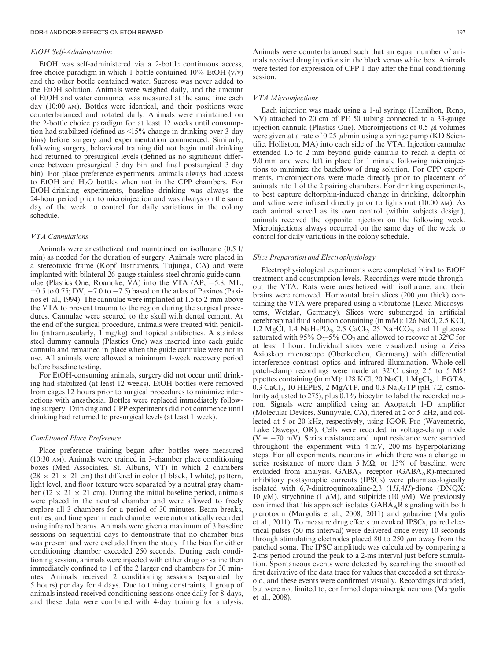#### EtOH Self-Administration

EtOH was self-administered via a 2-bottle continuous access, free-choice paradigm in which 1 bottle contained  $10\%$  EtOH (v/v) and the other bottle contained water. Sucrose was never added to the EtOH solution. Animals were weighed daily, and the amount of EtOH and water consumed was measured at the same time each day (10:00 AM). Bottles were identical, and their positions were counterbalanced and rotated daily. Animals were maintained on the 2-bottle choice paradigm for at least 12 weeks until consumption had stabilized (defined as <15% change in drinking over 3 day bins) before surgery and experimentation commenced. Similarly, following surgery, behavioral training did not begin until drinking had returned to presurgical levels (defined as no significant difference between presurgical 3 day bin and final postsurgical 3 day bin). For place preference experiments, animals always had access to EtOH and H2O bottles when not in the CPP chambers. For EtOH-drinking experiments, baseline drinking was always the 24-hour period prior to microinjection and was always on the same day of the week to control for daily variations in the colony schedule.

#### VTA Cannulations

Animals were anesthetized and maintained on isoflurane (0.5 l/ min) as needed for the duration of surgery. Animals were placed in a stereotaxic frame (Kopf Instruments, Tujunga, CA) and were implanted with bilateral 26-gauge stainless steel chronic guide cannulae (Plastics One, Roanoke, VA) into the VTA  $(AP, -5.8; ML,$  $\pm 0.5$  to 0.75; DV,  $-7.0$  to  $-7.5$ ) based on the atlas of Paxinos (Paxinos et al., 1994). The cannulae were implanted at 1.5 to 2 mm above the VTA to prevent trauma to the region during the surgical procedures. Cannulae were secured to the skull with dental cement. At the end of the surgical procedure, animals were treated with penicillin (intramuscularly, 1 mg/kg) and topical antibiotics. A stainless steel dummy cannula (Plastics One) was inserted into each guide cannula and remained in place when the guide cannulae were not in use. All animals were allowed a minimum 1-week recovery period before baseline testing.

For EtOH-consuming animals, surgery did not occur until drinking had stabilized (at least 12 weeks). EtOH bottles were removed from cages 12 hours prior to surgical procedures to minimize interactions with anesthesia. Bottles were replaced immediately following surgery. Drinking and CPP experiments did not commence until drinking had returned to presurgical levels (at least 1 week).

## Conditioned Place Preference

Place preference training began after bottles were measured (10:30 AM). Animals were trained in 3-chamber place conditioning boxes (Med Associates, St. Albans, VT) in which 2 chambers  $(28 \times 21 \times 21$  cm) that differed in color (1 black, 1 white), pattern, light level, and floor texture were separated by a neutral gray chamber (12  $\times$  21  $\times$  21 cm). During the initial baseline period, animals were placed in the neutral chamber and were allowed to freely explore all 3 chambers for a period of 30 minutes. Beam breaks, entries, and time spent in each chamber were automatically recorded using infrared beams. Animals were given a maximum of 3 baseline sessions on sequential days to demonstrate that no chamber bias was present and were excluded from the study if the bias for either conditioning chamber exceeded 250 seconds. During each conditioning session, animals were injected with either drug or saline then immediately confined to 1 of the 2 larger end chambers for 30 minutes. Animals received 2 conditioning sessions (separated by 5 hours) per day for 4 days. Due to timing constraints, 1 group of animals instead received conditioning sessions once daily for 8 days, and these data were combined with 4-day training for analysis.

Animals were counterbalanced such that an equal number of animals received drug injections in the black versus white box. Animals were tested for expression of CPP 1 day after the final conditioning session.

#### VTA Microinjections

Each injection was made using a  $1-\mu l$  syringe (Hamilton, Reno, NV) attached to 20 cm of PE 50 tubing connected to a 33-gauge injection cannula (Plastics One). Microinjections of 0.5  $\mu$ l volumes were given at a rate of 0.25  $\mu$ l/min using a syringe pump (KD Scientific, Holliston, MA) into each side of the VTA. Injection cannulae extended 1.5 to 2 mm beyond guide cannula to reach a depth of 9.0 mm and were left in place for 1 minute following microinjections to minimize the backflow of drug solution. For CPP experiments, microinjections were made directly prior to placement of animals into 1 of the 2 pairing chambers. For drinking experiments, to best capture deltorphin-induced change in drinking, deltorphin and saline were infused directly prior to lights out (10:00 AM). As each animal served as its own control (within subjects design), animals received the opposite injection on the following week. Microinjections always occurred on the same day of the week to control for daily variations in the colony schedule.

## Slice Preparation and Electrophysiology

Electrophysiological experiments were completed blind to EtOH treatment and consumption levels. Recordings were made throughout the VTA. Rats were anesthetized with isoflurane, and their brains were removed. Horizontal brain slices (200  $\mu$ m thick) containing the VTA were prepared using a vibratome (Leica Microsystems, Wetzlar, Germany). Slices were submerged in artificial cerebrospinal fluid solution containing (in mM): 126 NaCl, 2.5 KCl, 1.2 MgCl, 1.4 NaH<sub>2</sub>PO<sub>4</sub>, 2.5 CaCl<sub>2</sub>, 25 NaHCO<sub>3</sub>, and 11 glucose saturated with 95%  $O_2$ -5%  $CO_2$  and allowed to recover at 32°C for at least 1 hour. Individual slices were visualized using a Zeiss Axioskop microscope (Oberkochen, Germany) with differential interference contrast optics and infrared illumination. Whole-cell patch-clamp recordings were made at 32 $\degree$ C using 2.5 to 5 M $\Omega$ pipettes containing (in mM): 128 KCl, 20 NaCl, 1 MgCl<sub>2</sub>, 1 EGTA, 0.3 CaCl<sub>2</sub>, 10 HEPES, 2 MgATP, and 0.3 Na<sub>3</sub>GTP (pH 7.2, osmolarity adjusted to 275), plus 0.1% biocytin to label the recorded neuron. Signals were amplified using an Axopatch 1-D amplifier (Molecular Devices, Sunnyvale, CA), filtered at 2 or 5 kHz, and collected at 5 or 20 kHz, respectively, using IGOR Pro (Wavemetric, Lake Oswego, OR). Cells were recorded in voltage-clamp mode  $(V = -70$  mV). Series resistance and input resistance were sampled throughout the experiment with 4 mV, 200 ms hyperpolarizing steps. For all experiments, neurons in which there was a change in series resistance of more than 5 M $\Omega$ , or 15% of baseline, were excluded from analysis. GABA<sub>A</sub> receptor (GABA<sub>A</sub>R)-mediated inhibitory postsynaptic currents (IPSCs) were pharmacologically isolated with 6,7-dinitroquinoxaline-2,3 (1H,4H)-dione (DNQX: 10  $\mu$ M), strychnine (1  $\mu$ M), and sulpiride (10  $\mu$ M). We previously confirmed that this approach isolates  $GABA_AR$  signaling with both picrotoxin (Margolis et al., 2008, 2011) and gabazine (Margolis et al., 2011). To measure drug effects on evoked IPSCs, paired electrical pulses (50 ms interval) were delivered once every 10 seconds through stimulating electrodes placed 80 to 250  $\mu$ m away from the patched soma. The IPSC amplitude was calculated by comparing a 2-ms period around the peak to a 2-ms interval just before stimulation. Spontaneous events were detected by searching the smoothed first derivative of the data trace for values that exceeded a set threshold, and these events were confirmed visually. Recordings included, but were not limited to, confirmed dopaminergic neurons (Margolis et al., 2008).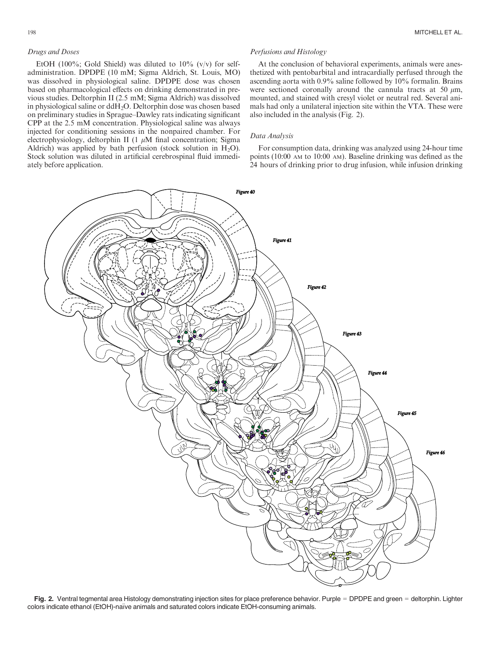EtOH (100%; Gold Shield) was diluted to  $10\%$  (v/v) for selfadministration. DPDPE (10 mM; Sigma Aldrich, St. Louis, MO) was dissolved in physiological saline. DPDPE dose was chosen based on pharmacological effects on drinking demonstrated in previous studies. Deltorphin II (2.5 mM; Sigma Aldrich) was dissolved in physiological saline or ddH2O. Deltorphin dose was chosen based on preliminary studies in Sprague–Dawley rats indicating significant CPP at the 2.5 mM concentration. Physiological saline was always injected for conditioning sessions in the nonpaired chamber. For electrophysiology, deltorphin II (1  $\mu$ M final concentration; Sigma Aldrich) was applied by bath perfusion (stock solution in  $H_2O$ ). Stock solution was diluted in artificial cerebrospinal fluid immediately before application.

## Perfusions and Histology

At the conclusion of behavioral experiments, animals were anesthetized with pentobarbital and intracardially perfused through the ascending aorta with 0.9% saline followed by 10% formalin. Brains were sectioned coronally around the cannula tracts at 50  $\mu$ m, mounted, and stained with cresyl violet or neutral red. Several animals had only a unilateral injection site within the VTA. These were also included in the analysis (Fig. 2).

#### Data Analysis

For consumption data, drinking was analyzed using 24-hour time points (10:00 AM to 10:00 AM). Baseline drinking was defined as the 24 hours of drinking prior to drug infusion, while infusion drinking



Fig. 2. Ventral tegmental area Histology demonstrating injection sites for place preference behavior. Purple = DPDPE and green = deltorphin. Lighter colors indicate ethanol (EtOH)-naïve animals and saturated colors indicate EtOH-consuming animals.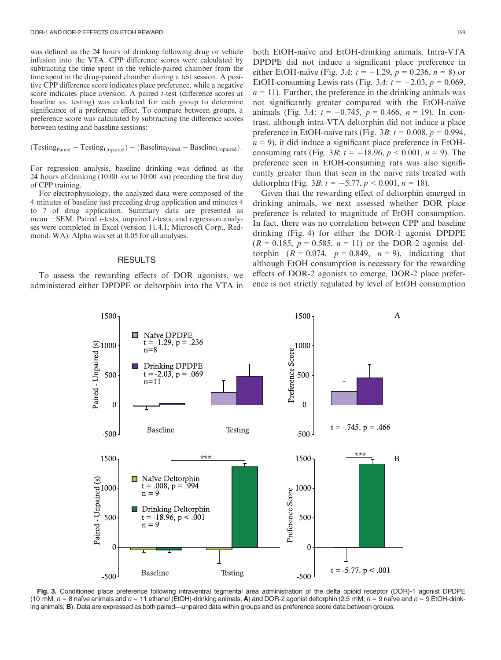was defined as the 24 hours of drinking following drug or vehicle infusion into the VTA. CPP difference scores were calculated by subtracting the time spent in the vehicle-paired chamber from the time spent in the drug-paired chamber during a test session. A positive CPP difference score indicates place preference, while a negative score indicates place aversion. A paired *t*-test (difference scores at baseline vs. testing) was calculated for each group to determine significance of a preference effect. To compare between groups, a preference score was calculated by subtracting the difference scores between testing and baseline sessions:

$$
(Testing_{Paired} - Testing_{Unpaired}) - (Baseline_{Paired} - Baseline_{Unpaired}).
$$

For regression analysis, baseline drinking was defined as the 24 hours of drinking (10:00 AM to 10:00 AM) preceding the first day of CPP training.

For electrophysiology, the analyzed data were composed of the 4 minutes of baseline just preceding drug application and minutes 4 to 7 of drug application. Summary data are presented as mean  $\pm$ SEM. Paired *t*-tests, unpaired *t*-tests, and regression analyses were completed in Excel (version 11.4.1; Microsoft Corp., Redmond, WA). Alpha was set at 0.05 for all analyses.

# RESULTS

To assess the rewarding effects of DOR agonists, we administered either DPDPE or deltorphin into the VTA in

both EtOH-naïve and EtOH-drinking animals. Intra-VTA DPDPE did not induce a significant place preference in either EtOH-naïve (Fig. 3A:  $t = -1.29$ ,  $p = 0.236$ ,  $n = 8$ ) or EtOH-consuming Lewis rats (Fig. 3A:  $t = -2.03$ ,  $p = 0.069$ ,  $n = 11$ ). Further, the preference in the drinking animals was not significantly greater compared with the EtOH-naïve animals (Fig. 3A:  $t = -0.745$ ,  $p = 0.466$ ,  $n = 19$ ). In contrast, although intra-VTA deltorphin did not induce a place preference in EtOH-naïve rats (Fig. 3B:  $t = 0.008$ ,  $p = 0.994$ ,  $n = 9$ ), it did induce a significant place preference in EtOHconsuming rats (Fig. 3*B*:  $t = -18.96$ ,  $p < 0.001$ ,  $n = 9$ ). The preference seen in EtOH-consuming rats was also significantly greater than that seen in the naïve rats treated with deltorphin (Fig. 3*B*:  $t = -5.77$ ,  $p < 0.001$ ,  $n = 18$ ).

Given that the rewarding effect of deltorphin emerged in drinking animals, we next assessed whether DOR place preference is related to magnitude of EtOH consumption. In fact, there was no correlation between CPP and baseline drinking (Fig. 4) for either the DOR-1 agonist DPDPE  $(R = 0.185, p = 0.585, n = 11)$  or the DOR-2 agonist deltorphin  $(R = 0.074, p = 0.849, n = 9)$ , indicating that although EtOH consumption is necessary for the rewarding effects of DOR-2 agonists to emerge, DOR-2 place preference is not strictly regulated by level of EtOH consumption



Fig. 3. Conditioned place preference following intraventral tegmental area administration of the delta opioid receptor (DOR)-1 agonist DPDPE (10 mM;  $n = 8$  naïve animals and  $n = 11$  ethanol (EtOH)-drinking animals; A) and DOR-2 agonist deltorphin (2.5 mM;  $n = 9$  naïve and  $n = 9$  EtOH-drinking animals; B). Data are expressed as both paired—unpaired data within groups and as preference score data between groups.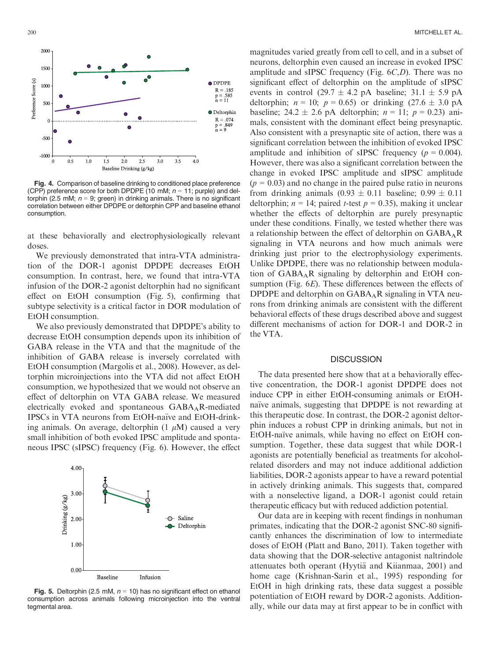

Fig. 4. Comparison of baseline drinking to conditioned place preference (CPP) preference score for both DPDPE (10 mM;  $n = 11$ ; purple) and deltorphin (2.5 mM;  $n = 9$ ; green) in drinking animals. There is no significant correlation between either DPDPE or deltorphin CPP and baseline ethanol consumption.

at these behaviorally and electrophysiologically relevant doses.

We previously demonstrated that intra-VTA administration of the DOR-1 agonist DPDPE decreases EtOH consumption. In contrast, here, we found that intra-VTA infusion of the DOR-2 agonist deltorphin had no significant effect on EtOH consumption (Fig. 5), confirming that subtype selectivity is a critical factor in DOR modulation of EtOH consumption.

We also previously demonstrated that DPDPE's ability to decrease EtOH consumption depends upon its inhibition of GABA release in the VTA and that the magnitude of the inhibition of GABA release is inversely correlated with EtOH consumption (Margolis et al., 2008). However, as deltorphin microinjections into the VTA did not affect EtOH consumption, we hypothesized that we would not observe an effect of deltorphin on VTA GABA release. We measured electrically evoked and spontaneous  $GABA_AR$ -mediated IPSCs in VTA neurons from EtOH-naïve and EtOH-drinking animals. On average, deltorphin  $(1 \mu M)$  caused a very small inhibition of both evoked IPSC amplitude and spontaneous IPSC (sIPSC) frequency (Fig. 6). However, the effect



**Fig. 5.** Deltorphin (2.5 mM,  $n = 10$ ) has no significant effect on ethanol consumption across animals following microinjection into the ventral tegmental area.

magnitudes varied greatly from cell to cell, and in a subset of neurons, deltorphin even caused an increase in evoked IPSC amplitude and sIPSC frequency (Fig. 6C,D). There was no significant effect of deltorphin on the amplitude of sIPSC events in control (29.7  $\pm$  4.2 pA baseline; 31.1  $\pm$  5.9 pA deltorphin;  $n = 10$ ;  $p = 0.65$ ) or drinking (27.6  $\pm$  3.0 pA baseline; 24.2  $\pm$  2.6 pA deltorphin;  $n = 11$ ;  $p = 0.23$ ) animals, consistent with the dominant effect being presynaptic. Also consistent with a presynaptic site of action, there was a significant correlation between the inhibition of evoked IPSC amplitude and inhibition of sIPSC frequency ( $p = 0.004$ ). However, there was also a significant correlation between the change in evoked IPSC amplitude and sIPSC amplitude  $(p = 0.03)$  and no change in the paired pulse ratio in neurons from drinking animals  $(0.93 \pm 0.11)$  baseline;  $(0.99 \pm 0.11)$ deltorphin;  $n = 14$ ; paired *t*-test  $p = 0.35$ ), making it unclear whether the effects of deltorphin are purely presynaptic under these conditions. Finally, we tested whether there was a relationship between the effect of deltorphin on  $GABA_AR$ signaling in VTA neurons and how much animals were drinking just prior to the electrophysiology experiments. Unlike DPDPE, there was no relationship between modulation of  $GABA_A R$  signaling by deltorphin and EtOH consumption (Fig. 6E). These differences between the effects of DPDPE and deltorphin on  $GABA_A R$  signaling in VTA neurons from drinking animals are consistent with the different behavioral effects of these drugs described above and suggest different mechanisms of action for DOR-1 and DOR-2 in the VTA.

# **DISCUSSION**

The data presented here show that at a behaviorally effective concentration, the DOR-1 agonist DPDPE does not induce CPP in either EtOH-consuming animals or EtOHnaïve animals, suggesting that DPDPE is not rewarding at this therapeutic dose. In contrast, the DOR-2 agonist deltorphin induces a robust CPP in drinking animals, but not in EtOH-naïve animals, while having no effect on EtOH consumption. Together, these data suggest that while DOR-1 agonists are potentially beneficial as treatments for alcoholrelated disorders and may not induce additional addiction liabilities, DOR-2 agonists appear to have a reward potential in actively drinking animals. This suggests that, compared with a nonselective ligand, a DOR-1 agonist could retain therapeutic efficacy but with reduced addiction potential.

Our data are in keeping with recent findings in nonhuman primates, indicating that the DOR-2 agonist SNC-80 significantly enhances the discrimination of low to intermediate doses of EtOH (Platt and Bano, 2011). Taken together with data showing that the DOR-selective antagonist naltrindole attenuates both operant (Hyytiä and Kiianmaa, 2001) and home cage (Krishnan-Sarin et al., 1995) responding for EtOH in high drinking rats, these data suggest a possible potentiation of EtOH reward by DOR-2 agonists. Additionally, while our data may at first appear to be in conflict with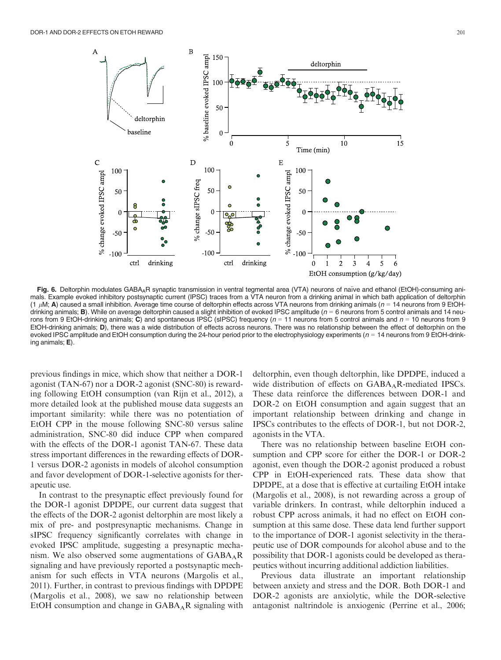

Fig. 6. Deltorphin modulates GABA<sub>A</sub>R synaptic transmission in ventral tegmental area (VTA) neurons of naïve and ethanol (EtOH)-consuming animals. Example evoked inhibitory postsynaptic current (IPSC) traces from a VTA neuron from a drinking animal in which bath application of deltorphin (1  $\mu$ M; A) caused a small inhibition. Average time course of deltorphin effects across VTA neurons from drinking animals ( $n = 14$  neurons from 9 EtOHdrinking animals; **B**). While on average deltorphin caused a slight inhibition of evoked IPSC amplitude ( $n = 6$  neurons from 5 control animals and 14 neurons from 9 EtOH-drinking animals; C) and spontaneous IPSC (sIPSC) frequency ( $n = 11$  neurons from 5 control animals and  $n = 10$  neurons from 9 EtOH-drinking animals; D), there was a wide distribution of effects across ne EtOH-drinking animals; **D**), there was a wide distribution of effects across neurons. There was no relationship between the effect of deltorphin on the<br>evoked IPSC amplitude and EtOH consumption during the 24-hour period p ing animals; E).

previous findings in mice, which show that neither a DOR-1 agonist (TAN-67) nor a DOR-2 agonist (SNC-80) is rewarding following EtOH consumption (van Rijn et al., 2012), a more detailed look at the published mouse data suggests an important similarity: while there was no potentiation of EtOH CPP in the mouse following SNC-80 versus saline administration, SNC-80 did induce CPP when compared with the effects of the DOR-1 agonist TAN-67. These data stress important differences in the rewarding effects of DOR-1 versus DOR-2 agonists in models of alcohol consumption and favor development of DOR-1-selective agonists for therapeutic use.

In contrast to the presynaptic effect previously found for the DOR-1 agonist DPDPE, our current data suggest that the effects of the DOR-2 agonist deltorphin are most likely a mix of pre- and postpresynaptic mechanisms. Change in sIPSC frequency significantly correlates with change in evoked IPSC amplitude, suggesting a presynaptic mechanism. We also observed some augmentations of  $GABA_AR$ signaling and have previously reported a postsynaptic mechanism for such effects in VTA neurons (Margolis et al., 2011). Further, in contrast to previous findings with DPDPE (Margolis et al., 2008), we saw no relationship between EtOH consumption and change in  $GABA_AR$  signaling with

deltorphin, even though deltorphin, like DPDPE, induced a wide distribution of effects on GABA<sub>A</sub>R-mediated IPSCs. These data reinforce the differences between DOR-1 and DOR-2 on EtOH consumption and again suggest that an important relationship between drinking and change in IPSCs contributes to the effects of DOR-1, but not DOR-2, agonists in the VTA.

There was no relationship between baseline EtOH consumption and CPP score for either the DOR-1 or DOR-2 agonist, even though the DOR-2 agonist produced a robust CPP in EtOH-experienced rats. These data show that DPDPE, at a dose that is effective at curtailing EtOH intake (Margolis et al., 2008), is not rewarding across a group of variable drinkers. In contrast, while deltorphin induced a robust CPP across animals, it had no effect on EtOH consumption at this same dose. These data lend further support to the importance of DOR-1 agonist selectivity in the therapeutic use of DOR compounds for alcohol abuse and to the possibility that DOR-1 agonists could be developed as therapeutics without incurring additional addiction liabilities.

Previous data illustrate an important relationship between anxiety and stress and the DOR. Both DOR-1 and DOR-2 agonists are anxiolytic, while the DOR-selective antagonist naltrindole is anxiogenic (Perrine et al., 2006;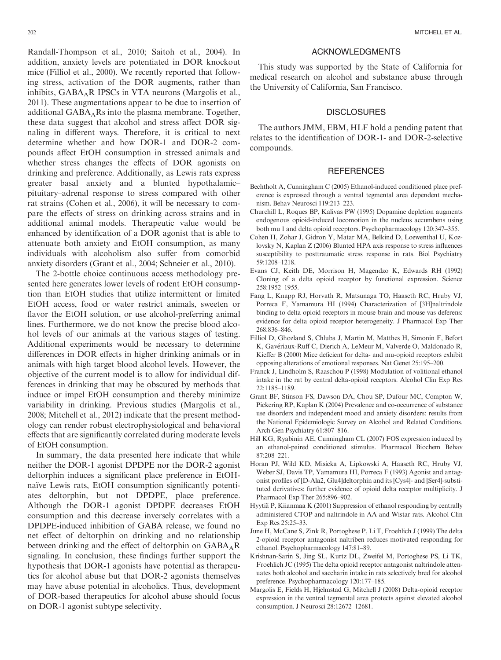Randall-Thompson et al., 2010; Saitoh et al., 2004). In addition, anxiety levels are potentiated in DOR knockout mice (Filliol et al., 2000). We recently reported that following stress, activation of the DOR augments, rather than inhibits, GABA<sub>A</sub>R IPSCs in VTA neurons (Margolis et al., 2011). These augmentations appear to be due to insertion of additional GABAARs into the plasma membrane. Together, these data suggest that alcohol and stress affect DOR signaling in different ways. Therefore, it is critical to next determine whether and how DOR-1 and DOR-2 compounds affect EtOH consumption in stressed animals and whether stress changes the effects of DOR agonists on drinking and preference. Additionally, as Lewis rats express greater basal anxiety and a blunted hypothalamic– pituitary–adrenal response to stress compared with other rat strains (Cohen et al., 2006), it will be necessary to compare the effects of stress on drinking across strains and in additional animal models. Therapeutic value would be enhanced by identification of a DOR agonist that is able to attenuate both anxiety and EtOH consumption, as many

anxiety disorders (Grant et al., 2004; Schneier et al., 2010). The 2-bottle choice continuous access methodology presented here generates lower levels of rodent EtOH consumption than EtOH studies that utilize intermittent or limited EtOH access, food or water restrict animals, sweeten or flavor the EtOH solution, or use alcohol-preferring animal lines. Furthermore, we do not know the precise blood alcohol levels of our animals at the various stages of testing. Additional experiments would be necessary to determine differences in DOR effects in higher drinking animals or in animals with high target blood alcohol levels. However, the objective of the current model is to allow for individual differences in drinking that may be obscured by methods that induce or impel EtOH consumption and thereby minimize variability in drinking. Previous studies (Margolis et al., 2008; Mitchell et al., 2012) indicate that the present methodology can render robust electrophysiological and behavioral effects that are significantly correlated during moderate levels of EtOH consumption.

individuals with alcoholism also suffer from comorbid

In summary, the data presented here indicate that while neither the DOR-1 agonist DPDPE nor the DOR-2 agonist deltorphin induces a significant place preference in EtOHnaïve Lewis rats, EtOH consumption significantly potentiates deltorphin, but not DPDPE, place preference. Although the DOR-1 agonist DPDPE decreases EtOH consumption and this decrease inversely correlates with a DPDPE-induced inhibition of GABA release, we found no net effect of deltorphin on drinking and no relationship between drinking and the effect of deltorphin on  $GABA_AR$ signaling. In conclusion, these findings further support the hypothesis that DOR-1 agonists have potential as therapeutics for alcohol abuse but that DOR-2 agonists themselves may have abuse potential in alcoholics. Thus, development of DOR-based therapeutics for alcohol abuse should focus on DOR-1 agonist subtype selectivity.

# ACKNOWLEDGMENTS

This study was supported by the State of California for medical research on alcohol and substance abuse through the University of California, San Francisco.

## **DISCLOSURES**

The authors JMM, EBM, HLF hold a pending patent that relates to the identification of DOR-1- and DOR-2-selective compounds.

## **REFERENCES**

- Bechtholt A, Cunningham C (2005) Ethanol-induced conditioned place preference is expressed through a ventral tegmental area dependent mechanism. Behav Neurosci 119:213–223.
- Churchill L, Roques BP, Kalivas PW (1995) Dopamine depletion augments endogenous opioid-induced locomotion in the nucleus accumbens using both mu 1 and delta opioid receptors. Psychopharmacology 120:347–355.
- Cohen H, Zohar J, Gidron Y, Matar MA, Belkind D, Loewenthal U, Kozlovsky N, Kaplan Z (2006) Blunted HPA axis response to stress influences susceptibility to posttraumatic stress response in rats. Biol Psychiatry 59:1208–1218.
- Evans CJ, Keith DE, Morrison H, Magendzo K, Edwards RH (1992) Cloning of a delta opioid receptor by functional expression. Science 258:1952–1955.
- Fang L, Knapp RJ, Horvath R, Matsunaga TO, Haaseth RC, Hruby VJ, Porreca F, Yamamura HI (1994) Characterization of [3H]naltrindole binding to delta opioid receptors in mouse brain and mouse vas deferens: evidence for delta opioid receptor heterogeneity. J Pharmacol Exp Ther 268:836–846.
- Filliol D, Ghozland S, Chluba J, Martin M, Matthes H, Simonin F, Befort K, Gavériaux-Ruff C, Dierich A, LeMeur M, Valverde O, Maldonado R, Kieffer B (2000) Mice deficient for delta- and mu-opioid receptors exhibit opposing alterations of emotional responses. Nat Genet 25:195–200.
- Franck J, Lindholm S, Raaschou P (1998) Modulation of volitional ethanol intake in the rat by central delta-opioid receptors. Alcohol Clin Exp Res 22:1185–1189.
- Grant BF, Stinson FS, Dawson DA, Chou SP, Dufour MC, Compton W, Pickering RP, Kaplan K (2004) Prevalence and co-occurrence of substance use disorders and independent mood and anxiety disorders: results from the National Epidemiologic Survey on Alcohol and Related Conditions. Arch Gen Psychiatry 61:807–816.
- Hill KG, Ryabinin AE, Cunningham CL (2007) FOS expression induced by an ethanol-paired conditioned stimulus. Pharmacol Biochem Behav 87:208–221.
- Horan PJ, Wild KD, Misicka A, Lipkowski A, Haaseth RC, Hruby VJ, Weber SJ, Davis TP, Yamamura HI, Porreca F (1993) Agonist and antagonist profiles of [D-Ala2, Glu4]deltorphin and its [Cys4]- and [Ser4]-substituted derivatives: further evidence of opioid delta receptor multiplicity. J Pharmacol Exp Ther 265:896–902.
- Hyytiä P, Kiianmaa K (2001) Suppression of ethanol responding by centrally administered CTOP and naltrindole in AA and Wistar rats. Alcohol Clin Exp Res 25:25–33.
- June H, McCane S, Zink R, Portoghese P, Li T, Froehlich J (1999) The delta 2-opioid receptor antagonist naltriben reduces motivated responding for ethanol. Psychopharmacology 147:81–89.
- Krishnan-Sarin S, Jing SL, Kurtz DL, Zweifel M, Portoghese PS, Li TK, Froehlich JC (1995) The delta opioid receptor antagonist naltrindole attenuates both alcohol and saccharin intake in rats selectively bred for alcohol preference. Psychopharmacology 120:177–185.
- Margolis E, Fields H, Hjelmstad G, Mitchell J (2008) Delta-opioid receptor expression in the ventral tegmental area protects against elevated alcohol consumption. J Neurosci 28:12672–12681.